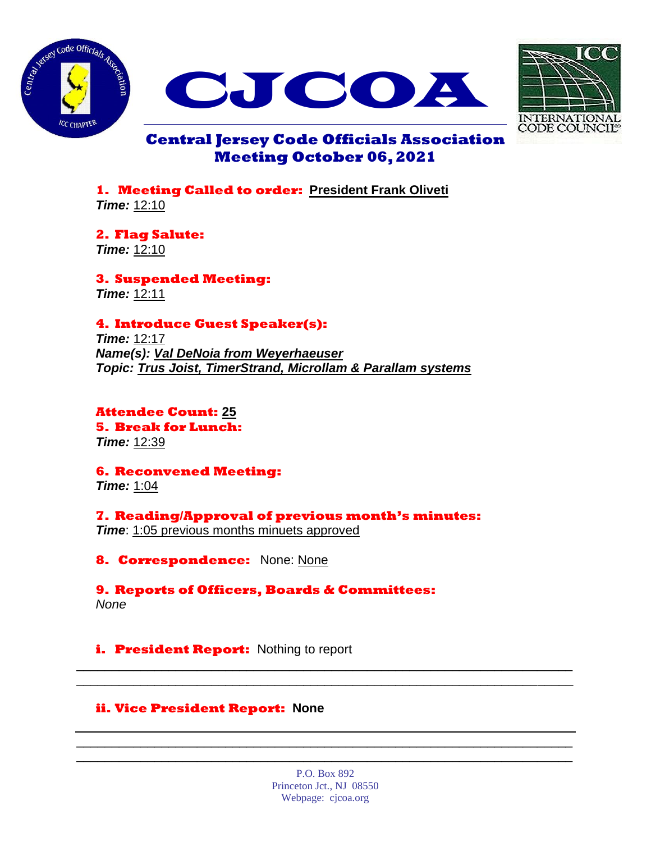





# **Central Jersey Code Officials Association Meeting October 06, 2021**

**1. Meeting Called to order: President Frank Oliveti** *Time:* 12:10

**2. Flag Salute:** *Time:* 12:10

**3. Suspended Meeting:** *Time:* 12:11

## **4. Introduce Guest Speaker(s):**

*Time:* 12:17 *Name(s): Val DeNoia from Weyerhaeuser Topic: Trus Joist, TimerStrand, Microllam & Parallam systems*

**Attendee Count: 25 5. Break for Lunch:** *Time:* 12:39

**6. Reconvened Meeting:** *Time:* 1:04

**7. Reading/Approval of previous month's minutes:** *Time*: 1:05 previous months minuets approved

**8. Correspondence:** None: None

**9. Reports of Officers, Boards & Committees:** *None*

**i.** President Report: Nothing to report

### **ii. Vice President Report: None**

P.O. Box 892 Princeton Jct., NJ 08550 Webpage: cjcoa.org

\_\_\_\_\_\_\_\_\_\_\_\_\_\_\_\_\_\_\_\_\_\_\_\_\_\_\_\_\_\_\_\_\_\_\_\_\_\_\_\_\_\_\_\_\_\_\_\_\_\_\_\_\_\_\_\_\_\_\_\_\_\_\_\_\_\_\_\_\_\_ \_\_\_\_\_\_\_\_\_\_\_\_\_\_\_\_\_\_\_\_\_\_\_\_\_\_\_\_\_\_\_\_\_\_\_\_\_\_\_\_\_\_\_\_\_\_\_\_\_\_\_\_\_\_\_\_\_\_\_\_\_\_\_\_\_\_\_\_\_\_

\_\_\_\_\_\_\_\_\_\_\_\_\_\_\_\_\_\_\_\_\_\_\_\_\_\_\_\_\_\_\_\_\_\_\_\_\_\_\_\_\_\_\_\_\_\_\_\_\_\_\_\_\_\_\_\_\_\_\_\_\_\_\_\_\_\_\_\_\_\_ \_\_\_\_\_\_\_\_\_\_\_\_\_\_\_\_\_\_\_\_\_\_\_\_\_\_\_\_\_\_\_\_\_\_\_\_\_\_\_\_\_\_\_\_\_\_\_\_\_\_\_\_\_\_\_\_\_\_\_\_\_\_\_\_\_\_\_\_\_\_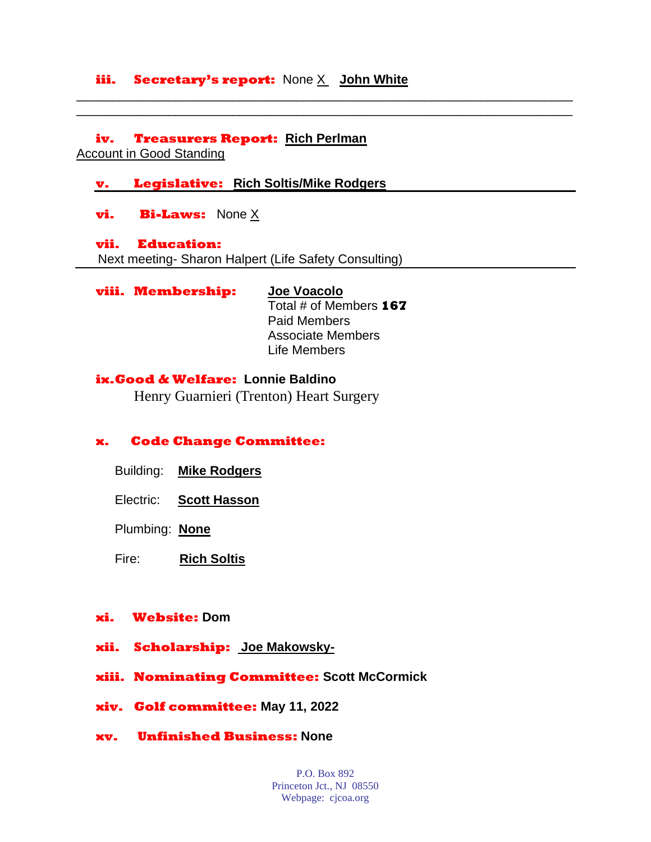### **iii. Secretary's report:** None X **John White**

**iv. Treasurers Report: Rich Perlman**

Account in Good Standing

#### **v. Legislative: Rich Soltis/Mike Rodgers**

**vi. Bi-Laws:** None X

#### **vii. Education:**

Next meeting- Sharon Halpert (Life Safety Consulting)

**viii. Membership: Joe Voacolo**

## Total # of Members **167** Paid Members Associate Members

\_\_\_\_\_\_\_\_\_\_\_\_\_\_\_\_\_\_\_\_\_\_\_\_\_\_\_\_\_\_\_\_\_\_\_\_\_\_\_\_\_\_\_\_\_\_\_\_\_\_\_\_\_\_\_\_\_\_\_\_\_\_\_\_\_\_\_\_\_\_ \_\_\_\_\_\_\_\_\_\_\_\_\_\_\_\_\_\_\_\_\_\_\_\_\_\_\_\_\_\_\_\_\_\_\_\_\_\_\_\_\_\_\_\_\_\_\_\_\_\_\_\_\_\_\_\_\_\_\_\_\_\_\_\_\_\_\_\_\_\_

Life Members

#### **ix.Good & Welfare: Lonnie Baldino**

Henry Guarnieri (Trenton) Heart Surgery

### **x. Code Change Committee:**

- Building: **Mike Rodgers**
- Electric: **Scott Hasson**
- Plumbing: **None**
- Fire: **Rich Soltis**

#### **xi. Website: Dom**

- **xii. Scholarship: Joe Makowsky-**
- **xiii. Nominating Committee: Scott McCormick**
- **xiv. Golf committee: May 11, 2022**
- **xv. Unfinished Business: None**

P.O. Box 892 Princeton Jct., NJ 08550 Webpage: cjcoa.org